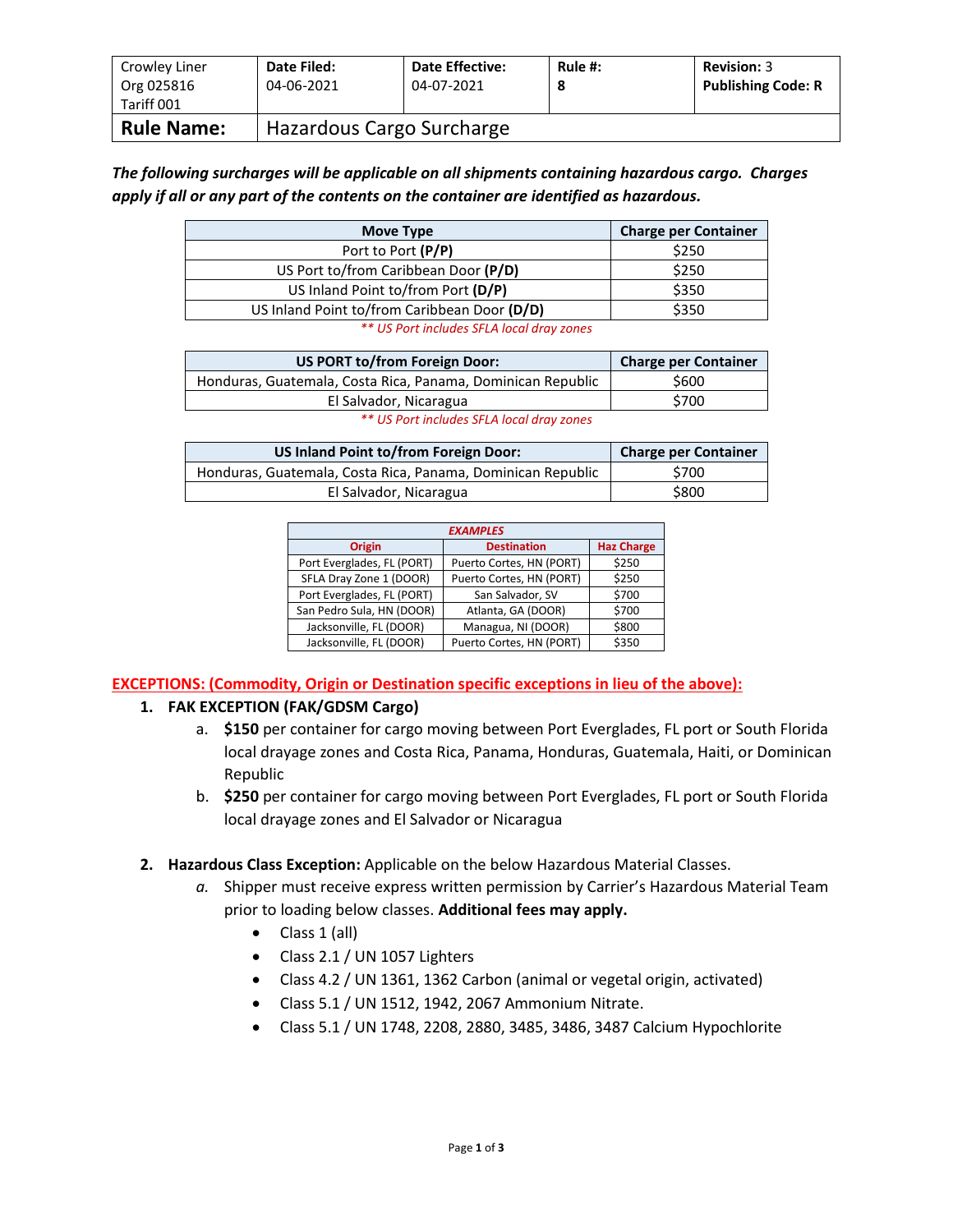| Crowley Liner<br>Org 025816<br>Tariff 001 | Date Filed:<br>04-06-2021 | <b>Date Effective:</b><br>04-07-2021 | Rule $#$ :<br>8 | <b>Revision: 3</b><br><b>Publishing Code: R</b> |
|-------------------------------------------|---------------------------|--------------------------------------|-----------------|-------------------------------------------------|
| <b>Rule Name:</b>                         | Hazardous Cargo Surcharge |                                      |                 |                                                 |

*The following surcharges will be applicable on all shipments containing hazardous cargo. Charges apply if all or any part of the contents on the container are identified as hazardous.*

| Move Type                                    | <b>Charge per Container</b> |
|----------------------------------------------|-----------------------------|
| Port to Port (P/P)                           | \$250                       |
| US Port to/from Caribbean Door (P/D)         | \$250                       |
| US Inland Point to/from Port (D/P)           | \$350                       |
| US Inland Point to/from Caribbean Door (D/D) | \$350                       |
| ** US Port includes SFLA local dray zones    |                             |

| US PORT to/from Foreign Door:                                                                                                                                                                                                                                                                                       | <b>Charge per Container</b> |
|---------------------------------------------------------------------------------------------------------------------------------------------------------------------------------------------------------------------------------------------------------------------------------------------------------------------|-----------------------------|
| Honduras, Guatemala, Costa Rica, Panama, Dominican Republic                                                                                                                                                                                                                                                         | \$600                       |
| El Salvador, Nicaragua                                                                                                                                                                                                                                                                                              | \$700                       |
| $\frac{1}{2}$ $\frac{1}{2}$ $\frac{1}{2}$ $\frac{1}{2}$ $\frac{1}{2}$ $\frac{1}{2}$ $\frac{1}{2}$ $\frac{1}{2}$ $\frac{1}{2}$ $\frac{1}{2}$ $\frac{1}{2}$ $\frac{1}{2}$ $\frac{1}{2}$ $\frac{1}{2}$ $\frac{1}{2}$ $\frac{1}{2}$ $\frac{1}{2}$ $\frac{1}{2}$ $\frac{1}{2}$ $\frac{1}{2}$ $\frac{1}{2}$ $\frac{1}{2}$ |                             |

|  |  |  | ** US Port includes SFLA local dray zones |  |  |  |  |
|--|--|--|-------------------------------------------|--|--|--|--|
|--|--|--|-------------------------------------------|--|--|--|--|

| US Inland Point to/from Foreign Door:                       | <b>Charge per Container</b> |
|-------------------------------------------------------------|-----------------------------|
| Honduras, Guatemala, Costa Rica, Panama, Dominican Republic | \$700                       |
| El Salvador, Nicaragua                                      | \$800                       |

| <b>EXAMPLES</b>            |                          |                   |  |  |  |
|----------------------------|--------------------------|-------------------|--|--|--|
| <b>Origin</b>              | <b>Destination</b>       | <b>Haz Charge</b> |  |  |  |
| Port Everglades, FL (PORT) | Puerto Cortes, HN (PORT) | \$250             |  |  |  |
| SFLA Dray Zone 1 (DOOR)    | Puerto Cortes, HN (PORT) | \$250             |  |  |  |
| Port Everglades, FL (PORT) | San Salvador, SV         | \$700             |  |  |  |
| San Pedro Sula, HN (DOOR)  | Atlanta, GA (DOOR)       | \$700             |  |  |  |
| Jacksonville, FL (DOOR)    | Managua, NI (DOOR)       | \$800             |  |  |  |
| Jacksonville, FL (DOOR)    | Puerto Cortes, HN (PORT) | \$350             |  |  |  |

**EXCEPTIONS: (Commodity, Origin or Destination specific exceptions in lieu of the above):**

## **1. FAK EXCEPTION (FAK/GDSM Cargo)**

- a. **\$150** per container for cargo moving between Port Everglades, FL port or South Florida local drayage zones and Costa Rica, Panama, Honduras, Guatemala, Haiti, or Dominican Republic
- b. **\$250** per container for cargo moving between Port Everglades, FL port or South Florida local drayage zones and El Salvador or Nicaragua
- **2. Hazardous Class Exception:** Applicable on the below Hazardous Material Classes.
	- *a.* Shipper must receive express written permission by Carrier's Hazardous Material Team prior to loading below classes. **Additional fees may apply.**
		- $\bullet$  Class 1 (all)
		- Class 2.1 / UN 1057 Lighters
		- Class 4.2 / UN 1361, 1362 Carbon (animal or vegetal origin, activated)
		- Class 5.1 / UN 1512, 1942, 2067 Ammonium Nitrate.
		- Class 5.1 / UN 1748, 2208, 2880, 3485, 3486, 3487 Calcium Hypochlorite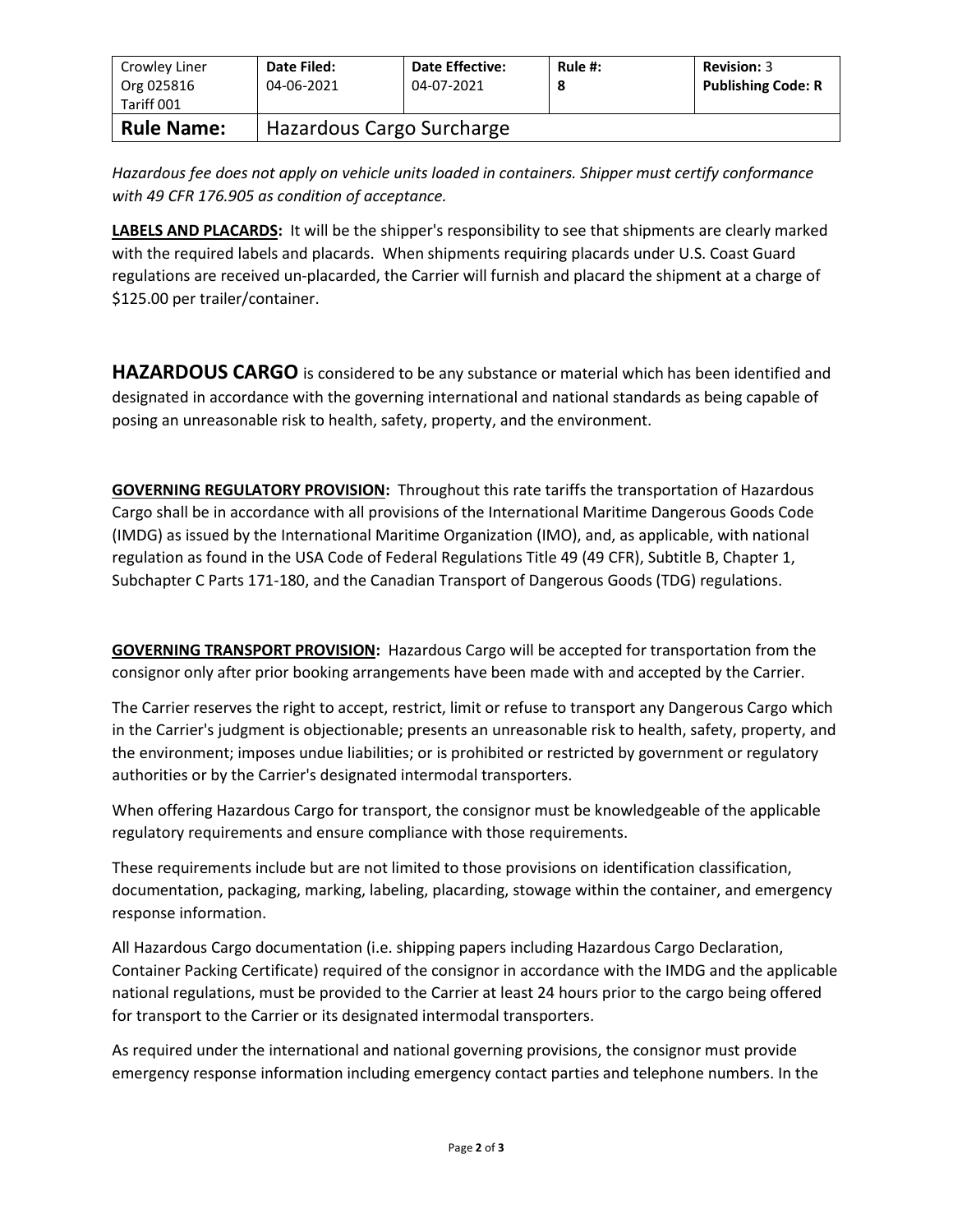| Crowley Liner<br>Org 025816<br>Tariff 001 | Date Filed:<br>04-06-2021 | <b>Date Effective:</b><br>04-07-2021 | Rule #:<br>8 | <b>Revision: 3</b><br><b>Publishing Code: R</b> |
|-------------------------------------------|---------------------------|--------------------------------------|--------------|-------------------------------------------------|
| <b>Rule Name:</b>                         | Hazardous Cargo Surcharge |                                      |              |                                                 |

*Hazardous fee does not apply on vehicle units loaded in containers. Shipper must certify conformance with 49 CFR 176.905 as condition of acceptance.*

**LABELS AND PLACARDS:** It will be the shipper's responsibility to see that shipments are clearly marked with the required labels and placards. When shipments requiring placards under U.S. Coast Guard regulations are received un-placarded, the Carrier will furnish and placard the shipment at a charge of \$125.00 per trailer/container.

**HAZARDOUS CARGO** is considered to be any substance or material which has been identified and designated in accordance with the governing international and national standards as being capable of posing an unreasonable risk to health, safety, property, and the environment.

**GOVERNING REGULATORY PROVISION:** Throughout this rate tariffs the transportation of Hazardous Cargo shall be in accordance with all provisions of the International Maritime Dangerous Goods Code (IMDG) as issued by the International Maritime Organization (IMO), and, as applicable, with national regulation as found in the USA Code of Federal Regulations Title 49 (49 CFR), Subtitle B, Chapter 1, Subchapter C Parts 171-180, and the Canadian Transport of Dangerous Goods (TDG) regulations.

**GOVERNING TRANSPORT PROVISION:** Hazardous Cargo will be accepted for transportation from the consignor only after prior booking arrangements have been made with and accepted by the Carrier.

The Carrier reserves the right to accept, restrict, limit or refuse to transport any Dangerous Cargo which in the Carrier's judgment is objectionable; presents an unreasonable risk to health, safety, property, and the environment; imposes undue liabilities; or is prohibited or restricted by government or regulatory authorities or by the Carrier's designated intermodal transporters.

When offering Hazardous Cargo for transport, the consignor must be knowledgeable of the applicable regulatory requirements and ensure compliance with those requirements.

These requirements include but are not limited to those provisions on identification classification, documentation, packaging, marking, labeling, placarding, stowage within the container, and emergency response information.

All Hazardous Cargo documentation (i.e. shipping papers including Hazardous Cargo Declaration, Container Packing Certificate) required of the consignor in accordance with the IMDG and the applicable national regulations, must be provided to the Carrier at least 24 hours prior to the cargo being offered for transport to the Carrier or its designated intermodal transporters.

As required under the international and national governing provisions, the consignor must provide emergency response information including emergency contact parties and telephone numbers. In the